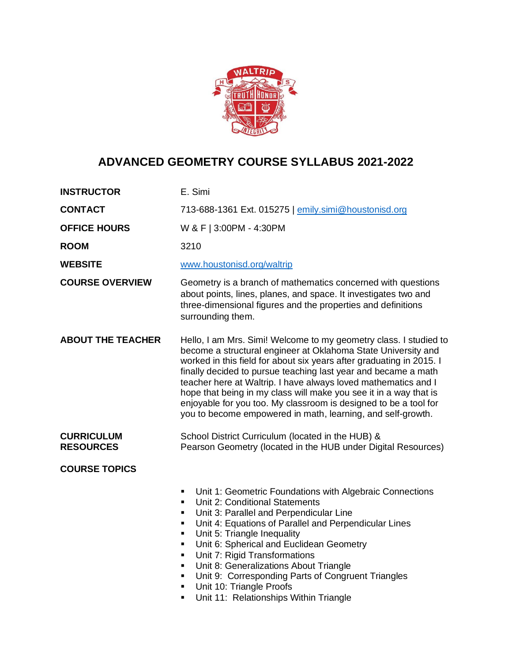

# **ADVANCED GEOMETRY COURSE SYLLABUS 2021-2022**

| <b>INSTRUCTOR</b>                     | E. Simi                                                                                                                                                                                                                                                                                                                                                                                                                                                                                                                                                |  |
|---------------------------------------|--------------------------------------------------------------------------------------------------------------------------------------------------------------------------------------------------------------------------------------------------------------------------------------------------------------------------------------------------------------------------------------------------------------------------------------------------------------------------------------------------------------------------------------------------------|--|
| <b>CONTACT</b>                        | 713-688-1361 Ext. 015275   emily.simi@houstonisd.org                                                                                                                                                                                                                                                                                                                                                                                                                                                                                                   |  |
| <b>OFFICE HOURS</b>                   | W & F   3:00PM - 4:30PM                                                                                                                                                                                                                                                                                                                                                                                                                                                                                                                                |  |
| <b>ROOM</b>                           | 3210                                                                                                                                                                                                                                                                                                                                                                                                                                                                                                                                                   |  |
| <b>WEBSITE</b>                        | www.houstonisd.org/waltrip                                                                                                                                                                                                                                                                                                                                                                                                                                                                                                                             |  |
| <b>COURSE OVERVIEW</b>                | Geometry is a branch of mathematics concerned with questions<br>about points, lines, planes, and space. It investigates two and<br>three-dimensional figures and the properties and definitions<br>surrounding them.                                                                                                                                                                                                                                                                                                                                   |  |
| <b>ABOUT THE TEACHER</b>              | Hello, I am Mrs. Simi! Welcome to my geometry class. I studied to<br>become a structural engineer at Oklahoma State University and<br>worked in this field for about six years after graduating in 2015. I<br>finally decided to pursue teaching last year and became a math<br>teacher here at Waltrip. I have always loved mathematics and I<br>hope that being in my class will make you see it in a way that is<br>enjoyable for you too. My classroom is designed to be a tool for<br>you to become empowered in math, learning, and self-growth. |  |
| <b>CURRICULUM</b><br><b>RESOURCES</b> | School District Curriculum (located in the HUB) &<br>Pearson Geometry (located in the HUB under Digital Resources)                                                                                                                                                                                                                                                                                                                                                                                                                                     |  |
| <b>COURSE TOPICS</b>                  | Unit 1: Geometric Foundations with Algebraic Connections<br>٠<br>Unit 2: Conditional Statements<br>٠<br>Unit 3: Parallel and Perpendicular Line<br>٠<br>Unit 4: Equations of Parallel and Perpendicular Lines<br>٠<br>Unit 5: Triangle Inequality<br>٠<br>Unit 6: Spherical and Euclidean Geometry<br>٠<br>Unit 7: Rigid Transformations<br>٠<br>Unit 8: Generalizations About Triangle<br>٠<br>Unit 9: Corresponding Parts of Congruent Triangles<br>٠<br>Unit 10: Triangle Proofs<br>٠<br>Unit 11: Relationships Within Triangle<br>٠                |  |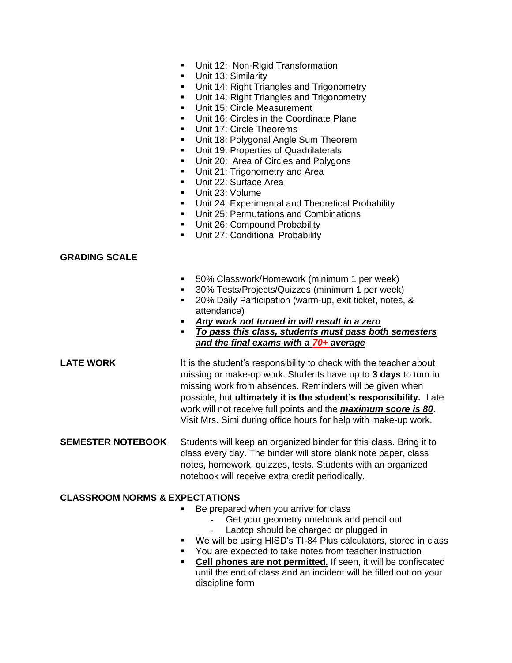- Unit 12: Non-Rigid Transformation
- **■** Unit 13: Similarity
- Unit 14: Right Triangles and Trigonometry
- Unit 14: Right Triangles and Trigonometry
- **■** Unit 15: Circle Measurement
- Unit 16: Circles in the Coordinate Plane
- Unit 17: Circle Theorems
- Unit 18: Polygonal Angle Sum Theorem
- Unit 19: Properties of Quadrilaterals
- Unit 20: Area of Circles and Polygons
- Unit 21: Trigonometry and Area
- Unit 22: Surface Area
- Unit 23: Volume
- Unit 24: Experimental and Theoretical Probability
- Unit 25: Permutations and Combinations
- **■** Unit 26: Compound Probability
- Unit 27: Conditional Probability

#### **GRADING SCALE**

- 50% Classwork/Homework (minimum 1 per week)
- 30% Tests/Projects/Quizzes (minimum 1 per week)
- 20% Daily Participation (warm-up, exit ticket, notes, & attendance)
- Any work not turned in will result in a zero
- *To pass this class, students must pass both semesters and the final exams with a 70+ average*

**LATE WORK** It is the student's responsibility to check with the teacher about missing or make-up work. Students have up to **3 days** to turn in missing work from absences. Reminders will be given when possible, but **ultimately it is the student's responsibility.** Late work will not receive full points and the *maximum score is 80*. Visit Mrs. Simi during office hours for help with make-up work.

**SEMESTER NOTEBOOK** Students will keep an organized binder for this class. Bring it to class every day. The binder will store blank note paper, class notes, homework, quizzes, tests. Students with an organized notebook will receive extra credit periodically.

#### **CLASSROOM NORMS & EXPECTATIONS**

- Be prepared when you arrive for class
	- Get your geometry notebook and pencil out
	- Laptop should be charged or plugged in
- We will be using HISD's TI-84 Plus calculators, stored in class
- You are expected to take notes from teacher instruction
- **Cell phones are not permitted.** If seen, it will be confiscated until the end of class and an incident will be filled out on your discipline form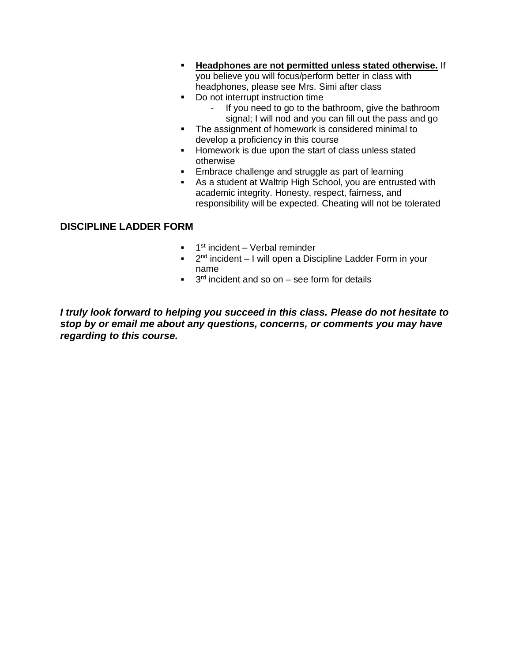- **Headphones are not permitted unless stated otherwise.** If you believe you will focus/perform better in class with headphones, please see Mrs. Simi after class
- Do not interrupt instruction time
	- If you need to go to the bathroom, give the bathroom signal; I will nod and you can fill out the pass and go
- The assignment of homework is considered minimal to develop a proficiency in this course
- Homework is due upon the start of class unless stated otherwise
- **Embrace challenge and struggle as part of learning**
- As a student at Waltrip High School, you are entrusted with academic integrity. Honesty, respect, fairness, and responsibility will be expected. Cheating will not be tolerated

### **DISCIPLINE LADDER FORM**

- **1**<sup>st</sup> incident Verbal reminder
- <sup>2nd</sup> incident I will open a Discipline Ladder Form in your name
- $\blacksquare$  3<sup>rd</sup> incident and so on  $-$  see form for details

*I truly look forward to helping you succeed in this class. Please do not hesitate to stop by or email me about any questions, concerns, or comments you may have regarding to this course.*